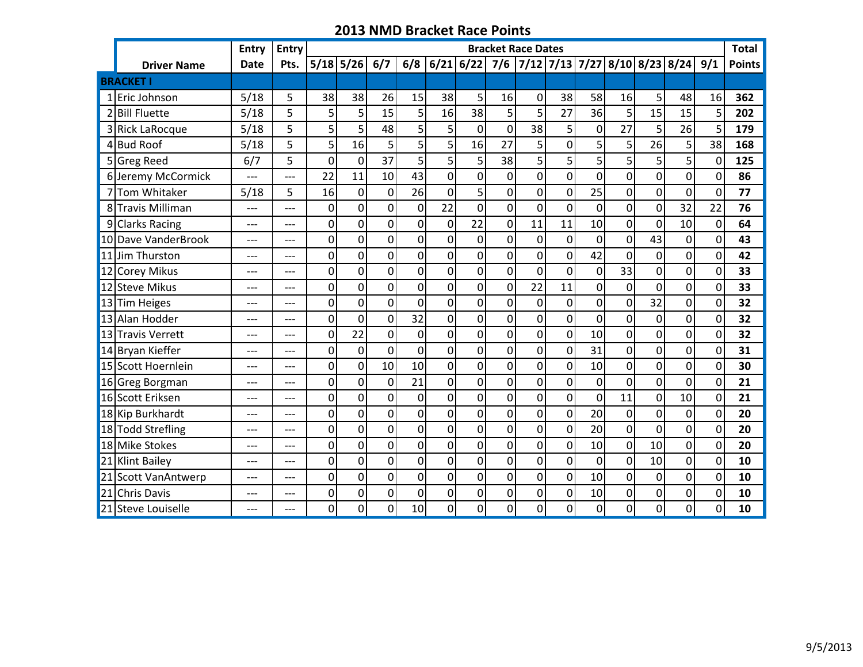|   |                      | <b>Entry</b>   | Entry | <b>Bracket Race Dates</b> |                |                |                |                |                |                |                |                |                |                |                |                                               | <b>Total</b>   |               |
|---|----------------------|----------------|-------|---------------------------|----------------|----------------|----------------|----------------|----------------|----------------|----------------|----------------|----------------|----------------|----------------|-----------------------------------------------|----------------|---------------|
|   | <b>Driver Name</b>   | <b>Date</b>    | Pts.  |                           | $5/18$ 5/26    | 6/7            | 6/8            | 6/21 6/22      |                |                |                |                |                |                |                | 7/6   7/12   7/13   7/27   8/10   8/23   8/24 | 9/1            | <b>Points</b> |
|   | <b>BRACKET</b>       |                |       |                           |                |                |                |                |                |                |                |                |                |                |                |                                               |                |               |
|   | 1 Eric Johnson       | 5/18           | 5     | 38                        | 38             | 26             | 15             | 38             | 5              | 16             | 0              | 38             | 58             | 16             | 5 <sup>1</sup> | 48                                            | 16             | 362           |
|   | 2 Bill Fluette       | 5/18           | 5     | 5                         | 5              | 15             | 5              | 16             | 38             | 5              | 5              | 27             | 36             | 5              | 15             | 15                                            | 5              | 202           |
| 3 | <b>Rick LaRocque</b> | 5/18           | 5     | 5                         | 5              | 48             | 5              | 5              | $\mathbf 0$    | 0              | 38             | 5 <sup>1</sup> | 0              | 27             | 5 <sup>1</sup> | 26                                            | 5              | 179           |
| 4 | <b>Bud Roof</b>      | 5/18           | 5     | 5                         | 16             | 5              | 5              | 5              | 16             | 27             | 5              | $\overline{0}$ | 5              | 5              | 26             | 5                                             | 38             | 168           |
| 5 | <b>Greg Reed</b>     | 6/7            | 5     | $\overline{0}$            | $\overline{0}$ | 37             | 5              | 5              | 5              | 38             | 5              | 5 <sup>1</sup> | 5              | 5              | 5 <sup>1</sup> | 5                                             | $\overline{0}$ | 125           |
|   | 6 Jeremy McCormick   | $\overline{a}$ | $---$ | 22                        | 11             | 10             | 43             | $\overline{0}$ | 0              | $\mathbf 0$    | $\overline{0}$ | $\overline{0}$ | $\overline{0}$ | $\overline{0}$ | $\overline{0}$ | 0                                             | $\overline{0}$ | 86            |
|   | 7Tom Whitaker        | 5/18           | 5     | 16                        | $\mathbf 0$    | $\overline{0}$ | 26             | $\overline{0}$ | 5              | $\overline{0}$ | $\mathbf 0$    | 0              | 25             | $\mathbf 0$    | 0              | $\mathbf 0$                                   | $\overline{0}$ | 77            |
|   | 8 Travis Milliman    | ---            | ---   | $\mathbf 0$               | $\mathbf 0$    | $\overline{0}$ | 0              | 22             | 0              | $\mathbf 0$    | $\overline{0}$ | $\overline{0}$ | 0              | $\overline{0}$ | 0              | 32                                            | 22             | 76            |
| 9 | <b>Clarks Racing</b> | $-$ --         | $---$ | $\mathbf{0}$              | 0              | $\Omega$       | $\overline{0}$ | $\mathbf 0$    | 22             | $\overline{0}$ | 11             | 11             | 10             | 0              | 0              | 10                                            | 0              | 64            |
|   | 10 Dave VanderBrook  | ---            | $---$ | 0                         | $\mathbf 0$    | $\overline{0}$ | $\overline{0}$ | $\mathbf 0$    | $\mathbf 0$    | $\overline{0}$ | $\mathbf 0$    | 0              | 0              | $\mathbf 0$    | 43             | 0                                             | $\overline{0}$ | 43            |
|   | 11 Jim Thurston      | ---            | $---$ | 0                         | 0              | $\Omega$       | 0              | 0              | $\Omega$       | $\overline{0}$ | 0              | $\overline{0}$ | 42             | 0              | 0              | $\overline{0}$                                | $\Omega$       | 42            |
|   | 12 Corey Mikus       | ---            | $---$ | 0                         | $\mathbf 0$    | 0              | 0              | $\mathbf 0$    | 0              | $\mathbf 0$    | $\mathbf 0$    | $\overline{0}$ | 0              | 33             | 0              | 0                                             | 0              | 33            |
|   | 12 Steve Mikus       | ---            | ---   | 0                         | $\overline{0}$ | $\overline{0}$ | $\mathbf 0$    | $\overline{0}$ | $\overline{0}$ | $\mathbf 0$    | 22             | 11             | 0              | $\overline{0}$ | 0              | 0                                             | $\overline{0}$ | 33            |
|   | 13 Tim Heiges        | ---            | ---   | 0                         | 0              | $\mathbf 0$    | $\overline{0}$ | 0              | $\Omega$       | 0              | 0              | $\overline{0}$ | 0              | 0              | 32             | 0                                             | $\Omega$       | 32            |
|   | 13 Alan Hodder       | ---            | ---   | 0                         | $\overline{0}$ | $\overline{0}$ | 32             | $\overline{0}$ | 0              | 0              | $\overline{0}$ | $\overline{0}$ | 0              | $\overline{0}$ | $\overline{0}$ | 0                                             | $\overline{0}$ | 32            |
|   | 13 Travis Verrett    | $---$          | $---$ | 0                         | 22             | $\mathbf 0$    | 0              | $\overline{0}$ | 0              | $\mathbf 0$    | $\overline{0}$ | 0              | 10             | $\overline{0}$ | $\overline{0}$ | 0                                             | 0              | 32            |
|   | 14 Bryan Kieffer     | ---            | $---$ | 0                         | $\overline{0}$ | $\mathbf 0$    | $\mathbf 0$    | $\overline{0}$ | 0              | $\mathbf 0$    | $\overline{0}$ | $\overline{0}$ | 31             | $\overline{0}$ | $\overline{0}$ | 0                                             | $\overline{0}$ | 31            |
|   | 15 Scott Hoernlein   | ---            | $---$ | $\overline{0}$            | $\mathbf 0$    | 10             | 10             | $\overline{0}$ | $\overline{0}$ | $\overline{0}$ | $\overline{0}$ | 0              | 10             | $\overline{0}$ | $\overline{0}$ | $\overline{0}$                                | $\overline{0}$ | 30            |
|   | 16 Greg Borgman      | ---            | ---   | 0                         | $\overline{0}$ | $\mathbf 0$    | 21             | $\overline{0}$ | 0              | 0              | $\overline{0}$ | $\overline{0}$ | 0              | $\overline{0}$ | $\overline{0}$ | 0                                             | $\overline{0}$ | 21            |
|   | 16 Scott Eriksen     | ---            | ---   | 0                         | $\mathbf 0$    | $\overline{0}$ | 0              | 0              | $\overline{0}$ | $\overline{0}$ | $\mathbf 0$    | $\overline{0}$ | 0              | 11             | 0              | 10                                            | $\overline{0}$ | 21            |
|   | 18 Kip Burkhardt     | ---            | $---$ | 0                         | 0              | 0              | 0              | 0              | 0              | $\overline{0}$ | 0              | 0              | 20             | 0              | 0              | 0                                             | $\overline{0}$ | 20            |
|   | 18 Todd Strefling    | ---            | $---$ | $\mathbf 0$               | $\mathbf 0$    | $\overline{0}$ | $\overline{0}$ | 0              | $\overline{0}$ | $\overline{0}$ | 0              | $\overline{0}$ | 20             | $\mathbf 0$    | 0              | $\overline{0}$                                | 0              | 20            |
|   | 18 Mike Stokes       | ---            | $---$ | 0                         | $\overline{0}$ | $\overline{0}$ | $\mathbf 0$    | $\overline{0}$ | $\overline{0}$ | $\mathbf 0$    | $\overline{0}$ | $\overline{0}$ | 10             | $\overline{0}$ | 10             | $\overline{0}$                                | $\overline{0}$ | 20            |
|   | 21 Klint Bailey      | ---            | ---   | 0                         | $\mathbf 0$    | $\overline{0}$ | $\mathbf 0$    | $\mathbf 0$    | $\overline{0}$ | $\mathbf 0$    | $\mathbf 0$    | $\overline{0}$ | 0              | $\mathbf 0$    | 10             | 0                                             | $\overline{0}$ | 10            |
|   | 21 Scott VanAntwerp  | ---            | ---   | 0                         | $\mathbf 0$    | $\overline{0}$ | $\mathbf 0$    | $\mathbf 0$    | 0              | $\mathbf 0$    | $\overline{0}$ | $\overline{0}$ | 10             | $\mathbf 0$    | $\overline{0}$ | 0                                             | $\overline{0}$ | 10            |
|   | 21 Chris Davis       | ---            | ---   | 0                         | $\mathbf 0$    | $\overline{0}$ | 0              | $\mathbf 0$    | $\overline{0}$ | 0              | $\mathbf 0$    | 0              | 10             | $\mathbf 0$    | $\overline{0}$ | 0                                             | $\overline{0}$ | 10            |
|   | 21 Steve Louiselle   | ---            | ---   | $\mathbf 0$               | $\mathbf 0$    | $\overline{0}$ | 10             | 0              | $\overline{0}$ | $\overline{0}$ | 0              | $\overline{0}$ | $\overline{0}$ | 0              | $\overline{0}$ | $\overline{0}$                                | 0              | 10            |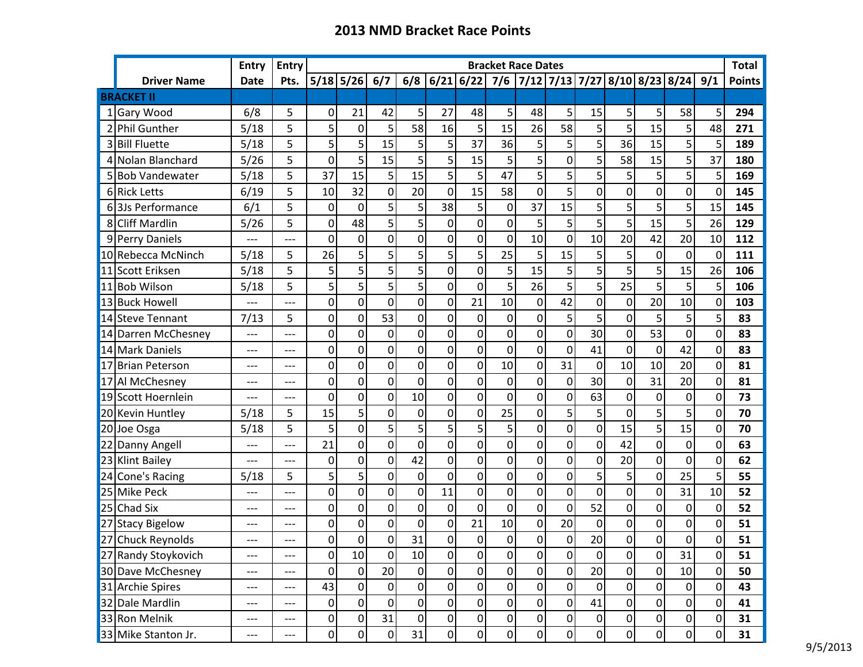|    |                     | <b>Entry</b> | <b>Entry</b> | <b>Bracket Race Dates</b> |                |                  |                  |                |                  |                  |                |                |                |                 |                                   |                |                | <b>Total</b>  |
|----|---------------------|--------------|--------------|---------------------------|----------------|------------------|------------------|----------------|------------------|------------------|----------------|----------------|----------------|-----------------|-----------------------------------|----------------|----------------|---------------|
|    | <b>Driver Name</b>  | <b>Date</b>  | Pts.         |                           | $5/18$ 5/26    | 6/7              | 6/8              | $6/21$ 6/22    |                  | 7/6              |                |                |                |                 | 7/12 7/13 7/27 8/10 8/23 8/24 9/1 |                |                | <b>Points</b> |
|    | <b>BRACKET II</b>   |              |              |                           |                |                  |                  |                |                  |                  |                |                |                |                 |                                   |                |                |               |
|    | 1 Gary Wood         | 6/8          | 5            | 0                         | 21             | 42               | 5                | 27             | 48               | 5                | 48             | 5              | 15             | 5 <sup>1</sup>  | 5                                 | 58             | 5 <sup>1</sup> | 294           |
|    | 2 Phil Gunther      | 5/18         | 5            | 5                         | 0              | 5                | 58               | 16             | 5                | 15               | 26             | 58             | 5              | 5               | 15                                | 5              | 48             | 271           |
|    | 3 Bill Fluette      | 5/18         | 5            | 5                         | 5              | 15               | 5                | 5              | 37               | 36               | 5 <sup>1</sup> | 5              | 5              | 36              | 15                                | 5              | 5              | 189           |
|    | 4 Nolan Blanchard   | 5/26         | 5            | $\overline{0}$            | 5              | 15               | 5                | 5              | 15               | 5                | 5 <sup>1</sup> | 0              | 5              | 58              | 15                                | 5              | 37             | 180           |
|    | 5 Bob Vandewater    | 5/18         | 5            | 37                        | 15             | 5                | 15               | 5              | 5                | 47               | 5              | 5              | 5              | 5               | 5                                 | 5              | 5              | 169           |
|    | 6 Rick Letts        | 6/19         | 5            | 10                        | 32             | 0                | 20               | $\mathbf 0$    | 15               | 58               | 0              | 5              | $\mathbf 0$    | 0               | 0                                 | $\mathbf 0$    | $\overline{0}$ | 145           |
|    | 63Js Performance    | 6/1          | 5            | 0                         | $\mathbf 0$    | 5                | 5                | 38             | 5                | 0                | 37             | 15             | 5              | 5               | 5                                 | 5              | 15             | 145           |
|    | 8 Cliff Mardlin     | 5/26         | 5            | $\mathbf 0$               | 48             | 5                | 5                | $\mathbf 0$    | 0                | 0                | 5              | 5              | 5              | 5               | 15                                | 5              | 26             | 129           |
|    | 9 Perry Daniels     | ---          | ---          | 0                         | 0              | $\mathbf 0$      | $\mathbf 0$      | 0              | 0                | 0                | 10             | 0              | 10             | 20 <sup>°</sup> | 42                                | 20             | 10             | 112           |
|    | 10 Rebecca McNinch  | 5/18         | 5            | 26                        | 5              | 5                | 5                | 5              | 5                | 25               | 5              | 15             | 5              | 5 <sup>1</sup>  | 0                                 | 0              | $\Omega$       | 111           |
|    | 11 Scott Eriksen    | 5/18         | 5            | 5                         | 5              | 5                | 5                | 0              | 0                | 5                | 15             | 5              | 5              | 5               | 5                                 | 15             | 26             | 106           |
| 11 | <b>Bob Wilson</b>   | 5/18         | 5            | 5                         | 5              | 5                | 5                | 0              | 0                | 5                | 26             | 5              | 5              | 25              | 5                                 | 5              | 5              | 106           |
|    | 13 Buck Howell      | ---          | ---          | 0                         | 0              | $\overline{0}$   | $\mathbf 0$      | $\mathbf 0$    | 21               | 10               | $\overline{0}$ | 42             | 0              | $\overline{0}$  | 20                                | 10             | 0              | 103           |
|    | 14 Steve Tennant    | 7/13         | 5            | 0                         | 0              | 53               | $\mathbf 0$      | 0              | 0                | $\mathbf 0$      | $\overline{0}$ | 5              | 5              | $\overline{0}$  | 5                                 | 5              | 5              | 83            |
|    | 14 Darren McChesney | ---          | ---          | $\mathbf 0$               | 0              | $\mathbf 0$      | $\mathbf 0$      | 0              | 0                | 0                | $\overline{0}$ | 0              | 30             | $\overline{0}$  | 53                                | $\mathbf 0$    | $\overline{0}$ | 83            |
|    | 14 Mark Daniels     | ---          | $---$        | $\overline{0}$            | $\Omega$       | 0                | 0                | $\Omega$       | $\overline{0}$   | 0                | $\Omega$       | 0              | 41             | 0               | 0                                 | 42             | $\Omega$       | 83            |
|    | 17 Brian Peterson   | ---          | $---$        | 0                         | 0              | 0                | $\mathbf 0$      | 0              | 0                | 10               | $\overline{0}$ | 31             | $\overline{0}$ | 10 <sup>1</sup> | 10                                | 20             | $\Omega$       | 81            |
|    | 17 Al McChesney     | ---          | ---          | 0                         | 0              | 0                | $\mathbf 0$      | 0              | 0                | 0                | $\overline{0}$ | 0              | 30             | $\overline{0}$  | 31                                | 20             | 0              | 81            |
|    | 19 Scott Hoernlein  | ---          | $---$        | 0                         | 0              | $\mathbf 0$      | 10               | 0              | 0                | $\overline{0}$   | $\Omega$       | 0              | 63             | $\overline{0}$  | 0                                 | 0              | $\Omega$       | 73            |
|    | 20 Kevin Huntley    | 5/18         | 5            | 15                        | 5              | $\mathbf 0$      | $\mathbf 0$      | 0              | 0                | 25               | 0              | 5              | 5              | 0               | 5                                 | 5              | 0              | 70            |
|    | 20 Joe Osga         | 5/18         | 5            | 5                         | 0              | 5                | 5                | 5              | 5                | 5                | $\overline{0}$ | $\overline{0}$ | 0              | 15              | 5 <sup>1</sup>                    | 15             | $\overline{0}$ | 70            |
|    | 22 Danny Angell     | ---          | ---          | 21                        | 0              | 0                | $\mathbf 0$      | 0              | 0                | 0                | $\overline{0}$ | 0              | 0              | 42              | 0                                 | 0              | $\Omega$       | 63            |
|    | 23 Klint Bailey     | $---$        | $---$        | $\overline{0}$            | $\Omega$       | $\overline{0}$   | 42               | $\Omega$       | $\overline{0}$   | 0                | $\Omega$       | $\overline{0}$ | 0              | 20              | $\overline{0}$                    | 0              | $\Omega$       | 62            |
|    | 24 Cone's Racing    | 5/18         | 5            | 5                         | 5              | $\mathbf 0$      | 0                | 0              | 0                | 0                | $\Omega$       | 0              | 5              | 5 <sup>1</sup>  | 0                                 | 25             | 5              | 55            |
|    | 25 Mike Peck        | ---          | ---          | 0                         | 0              | $\mathbf 0$      | $\mathbf 0$      | 11             | $\mathbf 0$      | 0                | $\overline{0}$ | 0              | $\mathbf 0$    | 0               | 0                                 | 31             | 10             | 52            |
|    | 25 Chad Six         | ---          | $---$        | 0                         | 0              | 0                | $\mathbf 0$      | 0              | 0                | $\mathbf 0$      | $\overline{0}$ | $\mathbf 0$    | 52             | $\overline{0}$  | 0                                 | 0              | 0              | 52            |
|    | 27 Stacy Bigelow    | ---          | ---          | 0                         | 0              | $\mathbf 0$      | $\mathbf 0$      | 0              | 21               | 10               | $\overline{0}$ | 20             | $\mathbf 0$    | $\overline{0}$  | 0                                 | 0              | 0              | 51            |
|    | 27 Chuck Reynolds   | ---          | ---          | $\overline{0}$            | Οl             | $\overline{0}$   | 31               | Οl             | $\overline{0}$   | $\overline{0}$   | $\Omega$       | 0              | 20             | $\Omega$        | $\overline{0}$                    | $\overline{0}$ | $\Omega$       | 51            |
|    | 27 Randy Stoykovich | ---          | ---          | $\overline{0}$            | 10             | $\boldsymbol{0}$ | $10\,$           | $\overline{0}$ | 0                | $\overline{0}$   | 0              | $\overline{0}$ | $\overline{0}$ | 0               | $\overline{0}$                    | 31             | $\overline{0}$ | 51            |
|    | 30 Dave McChesney   | $---$        | $---$        | $\overline{0}$            | $\overline{0}$ | 20               | $\boldsymbol{0}$ | $\overline{0}$ | $\boldsymbol{0}$ | $\boldsymbol{0}$ | 0              | 0              | 20             | 0               | 0                                 | 10             | $\overline{0}$ | 50            |
|    | 31 Archie Spires    | $---$        | ---          | 43                        | $\overline{0}$ | $\pmb{0}$        | 0                | $\overline{0}$ | 0                | $\overline{0}$   | 0              | $\overline{0}$ | $\mathbf 0$    | 0               | $\vert 0 \vert$                   | 0              | $\overline{0}$ | 43            |
|    | 32 Dale Mardlin     | ---          | ---          | $\overline{0}$            | $\overline{0}$ | $\mathbf 0$      | $\mathbf 0$      | $\overline{0}$ | $\overline{0}$   | $\overline{0}$   | 0              | $\overline{0}$ | 41             | $\overline{0}$  | $\overline{0}$                    | 0              | $\overline{0}$ | 41            |
|    | 33 Ron Melnik       | ---          | ---          | $\overline{0}$            | $\overline{0}$ | 31               | 0                | $\overline{0}$ | 0                | 0                | 0              | $\overline{0}$ | 0              | 0               | $\vert 0 \vert$                   | 0              | $\overline{0}$ | 31            |
|    | 33 Mike Stanton Jr. | ---          | ---          | $\overline{0}$            | $\overline{0}$ | $\overline{0}$   | 31               | $\overline{0}$ | $\overline{0}$   | $\overline{0}$   | 0              | $\overline{0}$ | $\overline{0}$ | 0               | $\overline{0}$                    | $\overline{0}$ | 0              | 31            |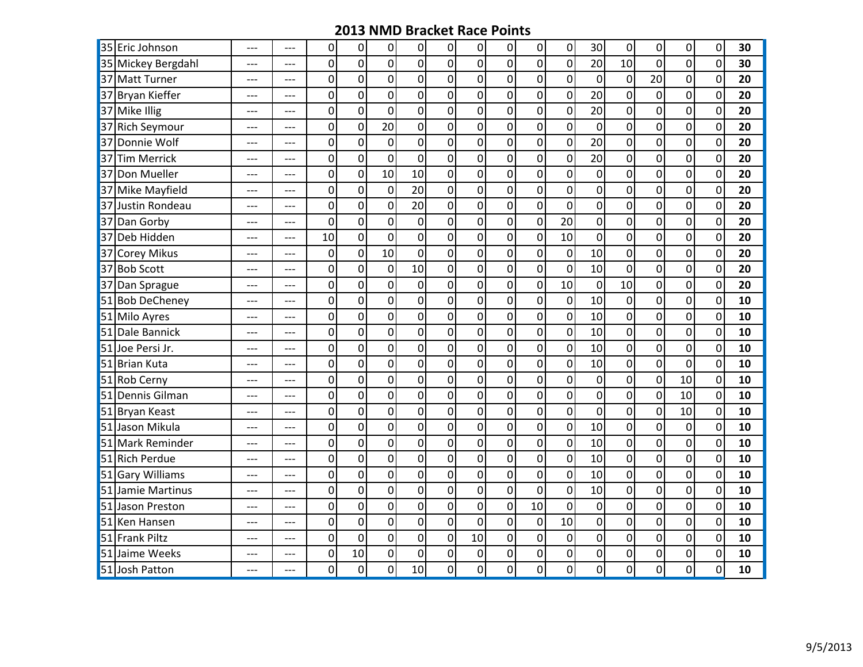|    | 35 Eric Johnson      | ---   | $---$ | 0                | 0              | 0                | 0                | 0                | 0                | $\overline{0}$ | 0                | 0                | 30 <sup>°</sup> | 0                | 0                | $\overline{0}$ | 0              | 30 |
|----|----------------------|-------|-------|------------------|----------------|------------------|------------------|------------------|------------------|----------------|------------------|------------------|-----------------|------------------|------------------|----------------|----------------|----|
|    | 35 Mickey Bergdahl   | $---$ | $---$ | 0                | $\mathbf 0$    | 0                | $\overline{0}$   | $\mathbf 0$      | 0                | $\overline{0}$ | $\mathbf 0$      | $\overline{0}$   | 20              | 10               | $\overline{0}$   | $\overline{0}$ | $\overline{0}$ | 30 |
|    | 37 Matt Turner       | ---   | ---   | $\overline{0}$   | $\overline{0}$ | $\overline{0}$   | $\overline{0}$   | $\overline{0}$   | $\overline{0}$   | $\overline{0}$ | $\overline{0}$   | $\overline{0}$   | $\overline{0}$  | $\overline{0}$   | 20               | $\overline{0}$ | $\mathbf 0$    | 20 |
|    | 37 Bryan Kieffer     | ---   | ---   | 0                | $\mathbf 0$    | $\overline{0}$   | $\mathbf{0}$     | $\mathbf 0$      | $\overline{0}$   | $\overline{0}$ | $\mathbf 0$      | $\overline{0}$   | 20              | $\boldsymbol{0}$ | $\mathbf 0$      | $\overline{0}$ | $\mathbf 0$    | 20 |
|    | 37 Mike Illig        | ---   | $---$ | 0                | $\mathbf 0$    | 0                | $\overline{0}$   | $\mathbf 0$      | $\mathbf 0$      | $\overline{0}$ | $\boldsymbol{0}$ | $\overline{0}$   | 20              | $\boldsymbol{0}$ | 0                | $\overline{0}$ | 0              | 20 |
| 37 | <b>Rich Seymour</b>  | ---   | $---$ | $\boldsymbol{0}$ | $\mathbf 0$    | 20               | $\mathbf 0$      | $\mathbf 0$      | $\boldsymbol{0}$ | $\mathbf{0}$   | $\mathbf 0$      | $\boldsymbol{0}$ | $\mathbf 0$     | $\boldsymbol{0}$ | $\mathbf 0$      | $\sigma$       | $\mathbf 0$    | 20 |
| 37 | Donnie Wolf          | ---   | $---$ | $\overline{0}$   | $\mathbf 0$    | $\mathbf 0$      | $\overline{0}$   | $\overline{0}$   | $\overline{0}$   | $\overline{0}$ | $\overline{0}$   | $\mathbf 0$      | 20              | $\overline{0}$   | $\overline{0}$   | $\overline{0}$ | $\mathbf 0$    | 20 |
| 37 | <b>Tim Merrick</b>   | ---   | ---   | 0                | $\mathbf 0$    | $\overline{0}$   | $\overline{0}$   | $\mathbf 0$      | $\overline{0}$   | $\overline{0}$ | $\mathbf 0$      | $\overline{0}$   | 20              | $\mathbf 0$      | $\mathbf 0$      | $\overline{0}$ | $\mathbf 0$    | 20 |
|    | 37 Don Mueller       | $---$ | ---   | $\mathbf 0$      | $\mathbf 0$    | 10               | 10               | $\mathbf 0$      | $\overline{0}$   | $\overline{0}$ | $\mathbf 0$      | $\overline{0}$   | $\overline{0}$  | $\mathbf 0$      | 0                | $\overline{0}$ | 0              | 20 |
|    | 37 Mike Mayfield     | ---   | $---$ | $\boldsymbol{0}$ | $\mathbf 0$    | $\overline{0}$   | 20               | $\mathbf 0$      | $\mathbf 0$      | $\mathbf{0}$   | $\boldsymbol{0}$ | $\boldsymbol{0}$ | $\mathbf{0}$    | $\boldsymbol{0}$ | 0                | $\overline{0}$ | 0              | 20 |
| 37 | Justin Rondeau       | ---   | ---   | $\mathbf 0$      | $\overline{0}$ | $\overline{0}$   | $\overline{20}$  | $\overline{0}$   | $\overline{0}$   | $\overline{0}$ | $\overline{0}$   | $\mathbf 0$      | $\overline{0}$  | $\mathbf 0$      | $\overline{0}$   | $\overline{0}$ | $\mathbf 0$    | 20 |
| 37 | Dan Gorby            | ---   | ---   | $\mathbf 0$      | $\mathbf 0$    | $\overline{0}$   | $\overline{0}$   | $\mathbf 0$      | $\overline{0}$   | $\overline{0}$ | $\mathbf 0$      | 20               | $\overline{0}$  | $\mathbf 0$      | $\overline{0}$   | $\overline{0}$ | $\mathbf 0$    | 20 |
| 37 | Deb Hidden           | ---   | $---$ | 10               | $\mathbf 0$    | $\mathbf 0$      | $\overline{0}$   | $\mathbf 0$      | $\overline{0}$   | $\overline{0}$ | $\mathbf 0$      | 10               | $\overline{0}$  | $\mathbf 0$      | $\mathbf 0$      | $\sigma$       | $\mathbf 0$    | 20 |
| 37 | <b>Corey Mikus</b>   | ---   | ---   | $\boldsymbol{0}$ | $\mathbf 0$    | 10               | $\mathbf{0}$     | $\mathbf 0$      | $\mathbf 0$      | $\overline{0}$ | $\mathbf 0$      | $\boldsymbol{0}$ | 10              | $\mathbf 0$      | $\mathbf 0$      | $\overline{0}$ | $\mathbf 0$    | 20 |
|    | 37 Bob Scott         | ---   | $---$ | 0                | $\mathbf 0$    | $\pmb{0}$        | 10               | $\boldsymbol{0}$ | $\overline{0}$   | $\overline{0}$ | $\boldsymbol{0}$ | $\overline{0}$   | 10              | $\mathbf 0$      | $\overline{0}$   | $\overline{0}$ | $\mathbf 0$    | 20 |
| 37 | Dan Sprague          | ---   | $---$ | 0                | $\mathbf 0$    | $\overline{0}$   | $\overline{0}$   | $\mathbf 0$      | $\overline{0}$   | $\overline{0}$ | $\mathbf 0$      | 10               | $\overline{0}$  | 10               | $\overline{0}$   | $\sigma$       | $\mathbf 0$    | 20 |
| 51 | <b>Bob DeCheney</b>  | ---   | $---$ | $\mathbf 0$      | $\mathbf 0$    | $\mathbf 0$      | $\overline{0}$   | $\mathbf 0$      | $\mathbf 0$      | $\overline{0}$ | $\mathbf 0$      | $\mathbf 0$      | 10              | $\boldsymbol{0}$ | $\mathbf 0$      | $\sigma$       | $\mathbf 0$    | 10 |
|    | 51 Milo Ayres        | $---$ | $---$ | 0                | $\mathbf 0$    | $\mathbf 0$      | $\mathbf{0}$     | $\mathbf 0$      | $\mathbf 0$      | $\mathbf{0}$   | $\mathbf 0$      | $\overline{0}$   | 10              | $\mathbf 0$      | $\mathbf 0$      | $\overline{0}$ | 0              | 10 |
|    | 51 Dale Bannick      | ---   | $---$ | $\mathbf 0$      | $\overline{0}$ | $\overline{0}$   | $\boldsymbol{0}$ | $\mathbf 0$      | $\overline{0}$   | $\mathbf{0}$   | $\mathbf 0$      | $\overline{0}$   | 10              | $\mathbf 0$      | $\overline{0}$   | $\overline{0}$ | $\mathbf 0$    | 10 |
|    | 51 Joe Persi Jr.     | ---   | ---   | $\mathbf 0$      | $\mathbf 0$    | $\overline{0}$   | $\overline{0}$   | $\mathbf 0$      | $\overline{0}$   | $\overline{0}$ | $\mathbf 0$      | $\overline{0}$   | 10              | $\mathbf 0$      | $\mathbf 0$      | $\overline{0}$ | $\overline{0}$ | 10 |
|    | 51 Brian Kuta        | $---$ | $---$ | $\boldsymbol{0}$ | $\mathbf 0$    | $\overline{0}$   | $\overline{0}$   | $\mathbf 0$      | $\overline{0}$   | $\overline{0}$ | $\boldsymbol{0}$ | $\overline{0}$   | 10              | $\mathbf 0$      | $\overline{0}$   | $\sigma$       | $\mathbf 0$    | 10 |
|    | 51 Rob Cerny         | ---   | $---$ | $\pmb{0}$        | $\mathbf 0$    | $\boldsymbol{0}$ | $\mathbf{0}$     | $\mathbf 0$      | $\mathbf 0$      | $\overline{0}$ | $\mathbf 0$      | $\boldsymbol{0}$ | $\overline{0}$  | $\mathbf 0$      | $\boldsymbol{0}$ | 10             | $\mathbf 0$    | 10 |
|    | 51 Dennis Gilman     | ---   | ---   | $\mathbf 0$      | $\mathbf 0$    | $\overline{0}$   | $\mathbf{0}$     | $\mathbf 0$      | $\overline{0}$   | $\overline{0}$ | $\mathbf 0$      | $\overline{0}$   | $\overline{0}$  | $\mathbf 0$      | $\overline{0}$   | 10             | $\mathbf 0$    | 10 |
|    | 51 Bryan Keast       | ---   | ---   | 0                | $\overline{0}$ | $\overline{0}$   | $\overline{0}$   | $\mathbf 0$      | $\overline{0}$   | $\overline{0}$ | $\mathbf 0$      | $\overline{0}$   | $\overline{0}$  | $\mathbf 0$      | $\overline{0}$   | 10             | $\overline{0}$ | 10 |
|    | 51 Jason Mikula      | $---$ | $---$ | $\mathbf 0$      | $\mathbf 0$    | $\mathbf 0$      | $\overline{0}$   | $\mathbf 0$      | $\mathbf 0$      | $\overline{0}$ | $\mathbf 0$      | $\overline{0}$   | 10              | $\mathbf 0$      | $\mathbf 0$      | $\sigma$       | $\mathbf 0$    | 10 |
|    | 51 Mark Reminder     | $---$ | $---$ | $\pmb{0}$        | $\mathbf 0$    | $\mathbf 0$      | $\mathbf{0}$     | $\mathbf 0$      | $\mathbf 0$      | $\overline{0}$ | $\boldsymbol{0}$ | $\overline{0}$   | 10              | $\boldsymbol{0}$ | 0                | $\sigma$       | 0              | 10 |
|    | 51 Rich Perdue       | ---   | $---$ | $\mathbf 0$      | $\mathbf 0$    | $\overline{0}$   | $\overline{0}$   | $\mathbf 0$      | $\overline{0}$   | $\overline{0}$ | $\mathbf 0$      | $\overline{0}$   | 10              | $\mathbf 0$      | $\overline{0}$   | $\overline{0}$ | $\mathbf 0$    | 10 |
| 51 | <b>Gary Williams</b> | ---   | ---   | 0                | $\mathbf 0$    | $\overline{0}$   | $\overline{0}$   | $\mathbf 0$      | $\overline{0}$   | $\overline{0}$ | $\mathbf 0$      | $\overline{0}$   | 10              | $\mathbf 0$      | $\overline{0}$   | $\overline{0}$ | $\mathbf 0$    | 10 |
| 51 | Jamie Martinus       | ---   | $---$ | $\mathbf 0$      | $\mathbf 0$    | $\overline{0}$   | $\mathbf{0}$     | $\mathbf 0$      | $\overline{0}$   | $\overline{0}$ | $\mathbf 0$      | $\overline{0}$   | 10              | $\mathbf 0$      | $\mathbf 0$      | $\sigma$       | $\mathbf 0$    | 10 |
|    | 51 Jason Preston     | ---   | ---   | $\mathbf 0$      | $\mathbf 0$    | $\overline{0}$   | $\mathbf{0}$     | $\mathbf 0$      | $\overline{0}$   | $\overline{0}$ | 10               | $\overline{0}$   | $\overline{0}$  | $\mathbf 0$      | $\mathbf 0$      | $\overline{0}$ | $\mathbf 0$    | 10 |
|    | 51 Ken Hansen        | ---   | ---   | $\mathbf 0$      | $\mathbf 0$    | $\overline{0}$   | $\overline{0}$   | $\mathbf 0$      | $\overline{0}$   | $\overline{0}$ | $\mathbf 0$      | 10               | $\overline{0}$  | $\mathbf 0$      | $\overline{0}$   | $\overline{0}$ | $\mathbf 0$    | 10 |
|    | 51 Frank Piltz       | ---   | $---$ | $\mathbf 0$      | $\overline{0}$ | $\overline{0}$   | $\overline{0}$   | $\mathbf 0$      | 10               | $\overline{0}$ | $\mathbf 0$      | $\mathbf 0$      | $\overline{0}$  | $\mathbf 0$      | $\mathbf 0$      | $\overline{0}$ | $\mathbf 0$    | 10 |
|    | 51 Jaime Weeks       | ---   | $---$ | $\pmb{0}$        | 10             | $\mathbf 0$      | $\mathbf 0$      | $\boldsymbol{0}$ | $\boldsymbol{0}$ | $\overline{0}$ | $\mathbf 0$      | $\mathbf 0$      | $\overline{0}$  | $\boldsymbol{0}$ | 0                | $\overline{0}$ | $\mathbf 0$    | 10 |
|    | 51 Josh Patton       | ---   | ---   | 0                | $\mathbf 0$    | $\overline{0}$   | 10               | $\boldsymbol{0}$ | $\overline{0}$   | $\overline{0}$ | $\mathbf 0$      | $\overline{0}$   | $\overline{0}$  | $\mathbf 0$      | $\overline{0}$   | $\mathsf{o}$   | $\mathbf 0$    | 10 |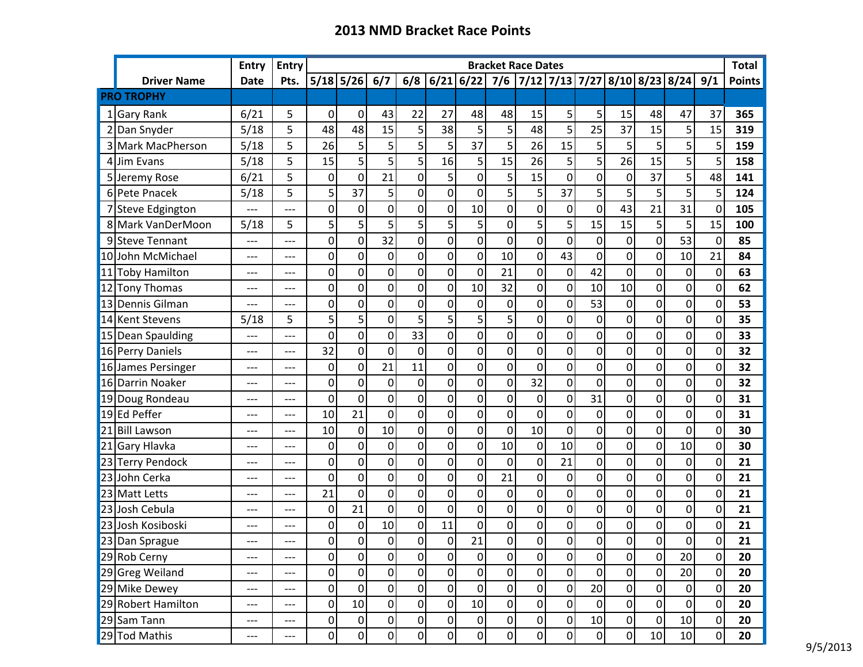|    |                             | <b>Entry</b> | <b>Entry</b>             | <b>Bracket Race Dates</b> |                 |                  |                  |                |                  |                  |                 |                |                |                |                                   |                  | <b>Total</b>    |               |
|----|-----------------------------|--------------|--------------------------|---------------------------|-----------------|------------------|------------------|----------------|------------------|------------------|-----------------|----------------|----------------|----------------|-----------------------------------|------------------|-----------------|---------------|
|    | <b>Driver Name</b>          | <b>Date</b>  | Pts.                     |                           | $5/18$ 5/26     | 6/7              | 6/8              | $6/21$ 6/22    |                  | 7/6              |                 |                |                |                | 7/12 7/13 7/27 8/10 8/23 8/24 9/1 |                  |                 | <b>Points</b> |
|    | <b>PRO TROPHY</b>           |              |                          |                           |                 |                  |                  |                |                  |                  |                 |                |                |                |                                   |                  |                 |               |
|    | 1 Gary Rank                 | 6/21         | 5                        | $\overline{0}$            | $\mathbf 0$     | 43               | 22               | 27             | 48               | 48               | 15              | 5              | 5              | 15             | 48                                | 47               | 37              | 365           |
|    | 2 Dan Snyder                | 5/18         | 5                        | 48                        | 48              | 15               | 5                | 38             | 5                | 5                | 48              | 5              | 25             | 37             | 15                                | 5                | 15              | 319           |
|    | 3 Mark MacPherson           | 5/18         | 5                        | 26                        | 5               | 5                | 5                | 5              | 37               | 5                | 26              | 15             | 5              | 5 <sup>1</sup> | 5                                 | 5                | 5               | 159           |
|    | 4 Jim Evans                 | 5/18         | 5                        | 15                        | 5               | 5                | 5                | 16             | 5                | 15               | 26              | 5              | 5              | 26             | 15                                | 5                | 5               | 158           |
|    | 5 Jeremy Rose               | 6/21         | 5                        | $\mathbf 0$               | $\mathbf 0$     | 21               | $\mathbf 0$      | 5              | 0                | 5                | 15              | 0              | 0              | $\mathbf 0$    | 37                                | 5                | 48              | 141           |
|    | 6 Pete Pnacek               | 5/18         | 5                        | 5                         | 37              | 5                | $\mathbf 0$      | $\overline{0}$ | 0                | 5                | 5 <sup>1</sup>  | 37             | 5              | 5              | 5                                 | 5                | 5               | 124           |
|    | 7 Steve Edgington           |              | $---$                    | $\overline{0}$            | 0               | $\mathbf 0$      | $\mathbf 0$      | 0              | 10               | 0                | $\overline{0}$  | $\mathbf 0$    | $\mathbf 0$    | 43             | 21                                | 31               | 0               | 105           |
|    | 8 Mark VanDerMoon           | 5/18         | 5                        | 5                         | 5               | 5                | 5                | 5              | 5                | 0                | 5 <sup>1</sup>  | 5              | 15             | 15             | 5                                 | 5                | 15              | 100           |
|    | 9 Steve Tennant             | ---          | $---$                    | 0                         | 0               | 32               | $\mathbf 0$      | 0              | 0                | $\mathbf 0$      | $\overline{0}$  | 0              | $\mathbf 0$    | $\overline{0}$ | 0                                 | 53               | 0               | 85            |
|    | 10 John McMichael           | ---          | ---                      | 0                         | 0               | $\mathbf 0$      | $\mathbf 0$      | 0              | 0                | 10               | $\overline{0}$  | 43             | $\mathbf 0$    | $\overline{0}$ | $\overline{0}$                    | 10               | 21              | 84            |
|    | 11 Toby Hamilton            | ---          | ---                      | 0                         | 0               | $\mathbf{0}$     | $\mathbf 0$      | 0              | 0                | 21               | $\overline{0}$  | $\overline{0}$ | 42             | $\overline{0}$ | 0                                 | 0                | 0               | 63            |
|    | 12 Tony Thomas              | ---          | $---$                    | 0                         | 0               | 0                | $\mathbf 0$      | $\mathbf 0$    | 10               | 32               | $\overline{0}$  | $\overline{0}$ | 10             | 10             | 0                                 | $\mathbf 0$      | 0               | 62            |
|    | 13 Dennis Gilman            | ---          | $---$                    | $\overline{0}$            | 0               | 0                | $\overline{0}$   | $\overline{0}$ | 0                | 0                | $\overline{0}$  | $\overline{0}$ | 53             | 0              | $\overline{0}$                    | 0                | $\overline{0}$  | 53            |
|    | 14 Kent Stevens             | 5/18         | 5                        | 5                         | 5               | 0                | 5                | 5              | 5                | 5                | $\Omega$        | 0              | $\mathbf 0$    | $\overline{0}$ | 0                                 | 0                | 0               | 35            |
|    | 15 Dean Spaulding           | ---          | ---                      | 0                         | 0               | 0                | 33               | 0              | 0                | 0                | $\overline{0}$  | 0              | $\mathbf 0$    | $\overline{0}$ | 0                                 | 0                | 0               | 33            |
|    | 16 Perry Daniels            | ---          | $---$                    | 32                        | 0               | $\overline{0}$   | $\mathbf 0$      | $\mathbf 0$    | 0                | 0                | $\overline{0}$  | 0              | $\mathbf 0$    | $\overline{0}$ | 0                                 | 0                | 0               | 32            |
|    | 16 James Persinger          | ---          | $---$                    | 0                         | 0               | 21               | 11               | 0              | 0                | $\overline{0}$   | $\overline{0}$  | 0              | $\overline{0}$ | $\overline{0}$ | 0                                 | 0                | 0               | 32            |
|    | 16 Darrin Noaker            | ---          | $---$                    | 0                         | 0               | 0                | 0                | 0              | 0                | 0                | 32              | 0              | $\mathbf 0$    | $\overline{0}$ | 0                                 | 0                | $\overline{0}$  | 32            |
|    | 19 Doug Rondeau             | ---          | $---$                    | 0                         | $\mathbf 0$     | 0                | $\mathbf 0$      | 0              | 0                | 0                | $\overline{0}$  | 0              | 31             | $\overline{0}$ | 0                                 | 0                | $\overline{0}$  | 31            |
|    | 19 Ed Peffer                | ---          | $---$                    | 10                        | 21              | 0                | $\mathbf 0$      | 0              | $\overline{0}$   | 0                | $\Omega$        | $\overline{0}$ | 0              | $\overline{0}$ | $\overline{0}$                    | $\mathbf 0$      | 0               | 31            |
| 21 | <b>Bill Lawson</b>          | ---          | ---                      | 10                        | 0               | 10               | $\mathbf 0$      | 0              | $\mathbf 0$      | $\mathbf 0$      | 10 <sup>1</sup> | 0              | 0              | $\overline{0}$ | 0                                 | $\mathbf 0$      | 0               | 30            |
|    | $\overline{21}$ Gary Hlavka | ---          | $---$                    | 0                         | 0               | $\mathbf 0$      | $\mathbf 0$      | 0              | 0                | 10               | $\overline{0}$  | 10             | 0              | $\overline{0}$ | 0                                 | 10               | 0               | 30            |
|    | 23 Terry Pendock            | ---          | $---$                    | 0                         | 0               | 0                | $\mathbf 0$      | 0              | 0                | 0                | $\overline{0}$  | 21             | 0              | $\overline{0}$ | 0                                 | 0                | 0               | 21            |
|    | 23 John Cerka               | ---          | ---                      | 0                         | 0               | 0                | $\mathbf 0$      | 0              | 0                | 21               | $\overline{0}$  | 0              | 0              | $\overline{0}$ | 0                                 | $\boldsymbol{0}$ | 0               | 21            |
|    | 23 Matt Letts               | ---          | ---                      | 21                        | $\mathbf 0$     | $\overline{0}$   | $\mathbf 0$      | 0              | $\overline{0}$   | 0                | $\overline{0}$  | $\overline{0}$ | 0              | $\overline{0}$ | $\overline{0}$                    | $\boldsymbol{0}$ | $\overline{0}$  | 21            |
|    | 23 Josh Cebula              | ---          | $---$                    | 0                         | 21              | 0                | $\mathbf 0$      | 0              | 0                | 0                | $\overline{0}$  | $\overline{0}$ | 0              | $\overline{0}$ | 0                                 | $\boldsymbol{0}$ | $\Omega$        | 21            |
|    | 23 Josh Kosiboski           | ---          | ---                      | 0                         | 0               | 10               | $\boldsymbol{0}$ | 11             | $\boldsymbol{0}$ | 0                | $\overline{0}$  | 0              | 0              | $\overline{0}$ | 0                                 | 0                | 0               | 21            |
|    | 23 Dan Sprague              | ---          | ---                      | Οl                        | ΩI              | 0                | $\Omega$         | $\Omega$       | 21               | $\overline{0}$   | $\Omega$        | 0              | $\overline{0}$ | $\Omega$       | $\overline{0}$                    | $\Omega$         | $\Omega$        | 21            |
|    | 29 Rob Cerny                | ---          | $---$                    | $\overline{0}$            | $\pmb{0}$       | $\pmb{0}$        | $\mathbf 0$      | $\overline{0}$ | $\overline{0}$   | 0                | $\overline{0}$  | $\overline{0}$ | 0              | 0              | 0                                 | 20               | $\overline{0}$  | 20            |
|    | 29 Greg Weiland             | ---          | ---                      | $\boldsymbol{0}$          | $\overline{0}$  | $\boldsymbol{0}$ | $\boldsymbol{0}$ | $\overline{0}$ | $\overline{0}$   | $\boldsymbol{0}$ | $\overline{0}$  | $\overline{0}$ | 0              | $\overline{0}$ | $\overline{0}$                    | 20               | $\overline{0}$  | 20            |
|    | 29 Mike Dewey               | ---          | ---                      | $\overline{0}$            | $\overline{0}$  | $\overline{0}$   | $\mathbf 0$      | $\overline{0}$ | $\overline{0}$   | $\overline{0}$   | $\overline{0}$  | 0              | $20\,$         | $\overline{0}$ | 0                                 | $\boldsymbol{0}$ | 0               | 20            |
|    | 29 Robert Hamilton          | ---          | ---                      | $\overline{0}$            | 10 <sup>1</sup> | 0                | $\overline{0}$   | $\overline{0}$ | 10               | $\overline{0}$   | 0               | $\overline{0}$ | $\overline{0}$ | 0              | $\overline{0}$                    | 0                | $\overline{0}$  | 20            |
|    | 29 Sam Tann                 | ---          | $\hspace{0.05cm} \ldots$ | $\pmb{0}$                 | $\overline{0}$  | $\boldsymbol{0}$ | $\pmb{0}$        | $\overline{0}$ | $\boldsymbol{0}$ | $\boldsymbol{0}$ | 0               | 0              | $10\,$         | 0              | 0                                 | $10\,$           | $\vert 0 \vert$ | 20            |
|    | 29 Tod Mathis               | ---          | ---                      | $\overline{0}$            | $\overline{0}$  | $\overline{0}$   | $\overline{0}$   | $\overline{0}$ | $\overline{0}$   | $\overline{0}$   | 0               | $\overline{0}$ | $\overline{0}$ | 0              | 10                                | 10               | $\overline{0}$  | 20            |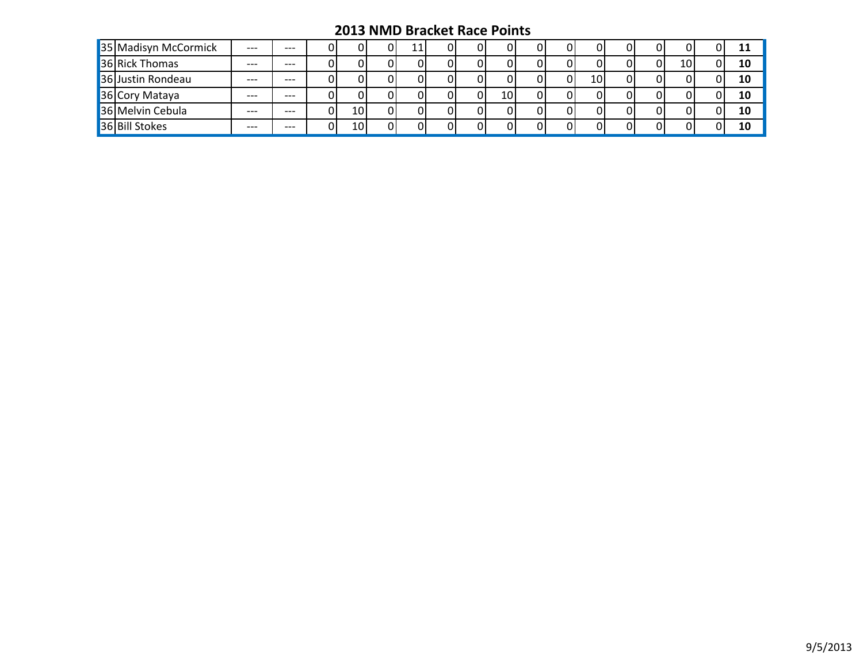| 35 Madisyn McCormick | $---$ | $---$ |    |     |  |  |    |  |    |    |    | 11 |
|----------------------|-------|-------|----|-----|--|--|----|--|----|----|----|----|
| 36 Rick Thomas       | $---$ | ---   |    |     |  |  |    |  |    |    | 10 | 10 |
| 36 Justin Rondeau    | $---$ | $---$ |    |     |  |  |    |  | 10 | ΩI |    | 10 |
| 36 Cory Mataya       | $---$ | ---   |    |     |  |  | 10 |  |    |    |    | 10 |
| 36 Melvin Cebula     | $---$ | $---$ | ΩI | 10  |  |  |    |  |    |    |    | 10 |
| 36 Bill Stokes       | $---$ | $---$ | ÐI | 10I |  |  |    |  |    |    |    | 10 |